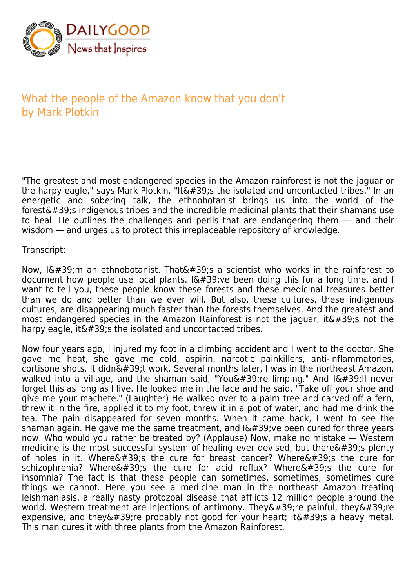

## What the people of the Amazon know that you don't by Mark Plotkin

"The greatest and most endangered species in the Amazon rainforest is not the jaguar or the harpy eagle," says Mark Plotkin, "It's the isolated and uncontacted tribes." In an energetic and sobering talk, the ethnobotanist brings us into the world of the  $forest'$ ; indigenous tribes and the incredible medicinal plants that their shamans use to heal. He outlines the challenges and perils that are endangering them — and their wisdom — and urges us to protect this irreplaceable repository of knowledge.

## Transcript:

Now,  $I\&\#39$ ; m an ethnobotanist. That $\&\#39$ ; a scientist who works in the rainforest to document how people use local plants.  $I\'$ ; ve been doing this for a long time, and I want to tell you, these people know these forests and these medicinal treasures better than we do and better than we ever will. But also, these cultures, these indigenous cultures, are disappearing much faster than the forests themselves. And the greatest and most endangered species in the Amazon Rainforest is not the jaguar, it  $\&\#39$ ; not the harpy eagle, it  $\&\#39$ ; the isolated and uncontacted tribes.

Now four years ago, I injured my foot in a climbing accident and I went to the doctor. She gave me heat, she gave me cold, aspirin, narcotic painkillers, anti-inflammatories,  $cortis$  shots. It didn $\&\#39$ ;t work. Several months later, I was in the northeast Amazon, walked into a village, and the shaman said, "You're limping." And I'II never forget this as long as I live. He looked me in the face and he said, "Take off your shoe and give me your machete." (Laughter) He walked over to a palm tree and carved off a fern, threw it in the fire, applied it to my foot, threw it in a pot of water, and had me drink the tea. The pain disappeared for seven months. When it came back, I went to see the shaman again. He gave me the same treatment, and  $I\'$ ; ve been cured for three years now. Who would you rather be treated by? (Applause) Now, make no mistake — Western medicine is the most successful system of healing ever devised, but there $\&\#39$ ; plenty of holes in it. Where $'$ ; the cure for breast cancer? Where $'$ ; the cure for schizophrenia? Where's the cure for acid reflux? Where's the cure for insomnia? The fact is that these people can sometimes, sometimes, sometimes cure things we cannot. Here you see a medicine man in the northeast Amazon treating leishmaniasis, a really nasty protozoal disease that afflicts 12 million people around the world. Western treatment are injections of antimony. They $'$ ;re painful, they $'$ ;re expensive, and they  $\&\#39$ ; re probably not good for your heart; it  $\&\#39$ ; s a heavy metal. This man cures it with three plants from the Amazon Rainforest.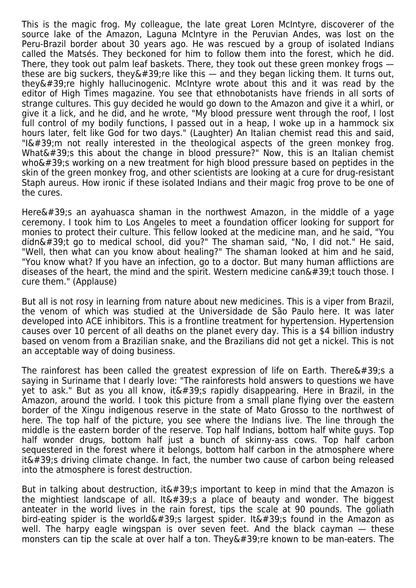This is the magic frog. My colleague, the late great Loren McIntyre, discoverer of the source lake of the Amazon, Laguna McIntyre in the Peruvian Andes, was lost on the Peru-Brazil border about 30 years ago. He was rescued by a group of isolated Indians called the Matsés. They beckoned for him to follow them into the forest, which he did. There, they took out palm leaf baskets. There, they took out these green monkey frogs these are big suckers, they  $\&\#39$ ; re like this — and they began licking them. It turns out, they $&\#39$ ; re highly hallucinogenic. McIntyre wrote about this and it was read by the editor of High Times magazine. You see that ethnobotanists have friends in all sorts of strange cultures. This guy decided he would go down to the Amazon and give it a whirl, or give it a lick, and he did, and he wrote, "My blood pressure went through the roof, I lost full control of my bodily functions, I passed out in a heap, I woke up in a hammock six hours later, felt like God for two days." (Laughter) An Italian chemist read this and said, " $I\'$ ; m not really interested in the theological aspects of the green monkey frog. What $'$ ; this about the change in blood pressure?" Now, this is an Italian chemist who $\&\#39$ ; working on a new treatment for high blood pressure based on peptides in the skin of the green monkey frog, and other scientists are looking at a cure for drug-resistant Staph aureus. How ironic if these isolated Indians and their magic frog prove to be one of the cures.

Here $&\#39$ ; an ayahuasca shaman in the northwest Amazon, in the middle of a yage ceremony. I took him to Los Angeles to meet a foundation officer looking for support for monies to protect their culture. This fellow looked at the medicine man, and he said, "You didn't go to medical school, did you?" The shaman said, "No, I did not." He said, "Well, then what can you know about healing?" The shaman looked at him and he said, "You know what? If you have an infection, go to a doctor. But many human afflictions are diseases of the heart, the mind and the spirit. Western medicine can $\&\#39$ ;t touch those. I cure them." (Applause)

But all is not rosy in learning from nature about new medicines. This is a viper from Brazil, the venom of which was studied at the Universidade de São Paulo here. It was later developed into ACE inhibitors. This is a frontline treatment for hypertension. Hypertension causes over 10 percent of all deaths on the planet every day. This is a \$4 billion industry based on venom from a Brazilian snake, and the Brazilians did not get a nickel. This is not an acceptable way of doing business.

The rainforest has been called the greatest expression of life on Earth. There  $\&\#39$ ; s a saying in Suriname that I dearly love: "The rainforests hold answers to questions we have yet to ask." But as you all know, it  $\&\#39$ ; rapidly disappearing. Here in Brazil, in the Amazon, around the world. I took this picture from a small plane flying over the eastern border of the Xingu indigenous reserve in the state of Mato Grosso to the northwest of here. The top half of the picture, you see where the Indians live. The line through the middle is the eastern border of the reserve. Top half Indians, bottom half white guys. Top half wonder drugs, bottom half just a bunch of skinny-ass cows. Top half carbon sequestered in the forest where it belongs, bottom half carbon in the atmosphere where  $it\&\#39$ ; driving climate change. In fact, the number two cause of carbon being released into the atmosphere is forest destruction.

But in talking about destruction, it  $\&\#39$ ; important to keep in mind that the Amazon is the mightiest landscape of all. It  $\&\#39$ ; a place of beauty and wonder. The biggest anteater in the world lives in the rain forest, tips the scale at 90 pounds. The goliath bird-eating spider is the world  $\&\#39$ ; largest spider. It  $\&\#39$ ; found in the Amazon as well. The harpy eagle wingspan is over seven feet. And the black cayman — these monsters can tip the scale at over half a ton. They ' re known to be man-eaters. The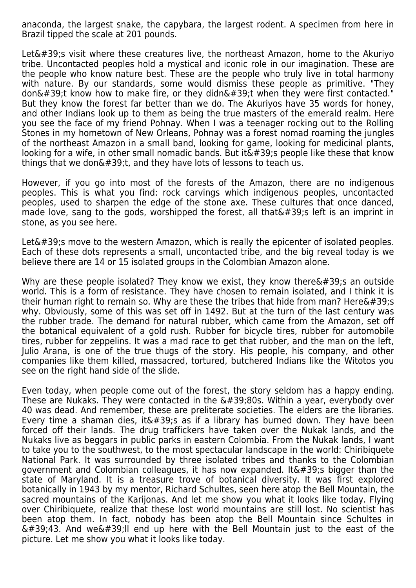anaconda, the largest snake, the capybara, the largest rodent. A specimen from here in Brazil tipped the scale at 201 pounds.

Let $'$ ; visit where these creatures live, the northeast Amazon, home to the Akuriyo tribe. Uncontacted peoples hold a mystical and iconic role in our imagination. These are the people who know nature best. These are the people who truly live in total harmony with nature. By our standards, some would dismiss these people as primitive. "They don't know how to make fire, or they didn't when they were first contacted." But they know the forest far better than we do. The Akuriyos have 35 words for honey, and other Indians look up to them as being the true masters of the emerald realm. Here you see the face of my friend Pohnay. When I was a teenager rocking out to the Rolling Stones in my hometown of New Orleans, Pohnay was a forest nomad roaming the jungles of the northeast Amazon in a small band, looking for game, looking for medicinal plants, looking for a wife, in other small nomadic bands. But it  $\&\#39$ ; people like these that know things that we don $\&\#39$ ;t, and they have lots of lessons to teach us.

However, if you go into most of the forests of the Amazon, there are no indigenous peoples. This is what you find: rock carvings which indigenous peoples, uncontacted peoples, used to sharpen the edge of the stone axe. These cultures that once danced, made love, sang to the gods, worshipped the forest, all that  $\&\#39$ ; left is an imprint in stone, as you see here.

Let $\&\#39$ :s move to the western Amazon, which is really the epicenter of isolated peoples. Each of these dots represents a small, uncontacted tribe, and the big reveal today is we believe there are 14 or 15 isolated groups in the Colombian Amazon alone.

Why are these people isolated? They know we exist, they know there $'$ ; an outside world. This is a form of resistance. They have chosen to remain isolated, and I think it is their human right to remain so. Why are these the tribes that hide from man? Here $\&\#39$ :s why. Obviously, some of this was set off in 1492. But at the turn of the last century was the rubber trade. The demand for natural rubber, which came from the Amazon, set off the botanical equivalent of a gold rush. Rubber for bicycle tires, rubber for automobile tires, rubber for zeppelins. It was a mad race to get that rubber, and the man on the left, Julio Arana, is one of the true thugs of the story. His people, his company, and other companies like them killed, massacred, tortured, butchered Indians like the Witotos you see on the right hand side of the slide.

Even today, when people come out of the forest, the story seldom has a happy ending. These are Nukaks. They were contacted in the  $\&\#39;80$ s. Within a year, everybody over 40 was dead. And remember, these are preliterate societies. The elders are the libraries. Every time a shaman dies, it  $\&\#39$ ; as if a library has burned down. They have been forced off their lands. The drug traffickers have taken over the Nukak lands, and the Nukaks live as beggars in public parks in eastern Colombia. From the Nukak lands, I want to take you to the southwest, to the most spectacular landscape in the world: Chiribiquete National Park. It was surrounded by three isolated tribes and thanks to the Colombian government and Colombian colleagues, it has now expanded. It  $\&\#39$ ; bigger than the state of Maryland. It is a treasure trove of botanical diversity. It was first explored botanically in 1943 by my mentor, Richard Schultes, seen here atop the Bell Mountain, the sacred mountains of the Karijonas. And let me show you what it looks like today. Flying over Chiribiquete, realize that these lost world mountains are still lost. No scientist has been atop them. In fact, nobody has been atop the Bell Mountain since Schultes in  $\&\#39,43$ . And we $&\#39$ ; I end up here with the Bell Mountain just to the east of the picture. Let me show you what it looks like today.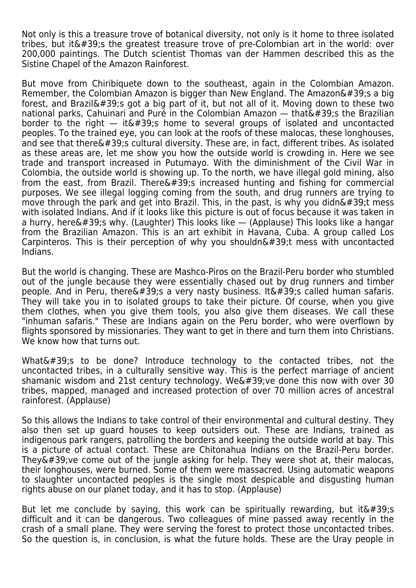Not only is this a treasure trove of botanical diversity, not only is it home to three isolated tribes, but it  $\&\#39$ : the greatest treasure trove of pre-Colombian art in the world: over 200,000 paintings. The Dutch scientist Thomas van der Hammen described this as the Sistine Chapel of the Amazon Rainforest.

But move from Chiribiquete down to the southeast, again in the Colombian Amazon. Remember, the Colombian Amazon is bigger than New England. The Amazon $\&\#39$ ; a big forest, and Brazil's got a big part of it, but not all of it. Moving down to these two national parks, Cahuinari and Puré in the Colombian Amazon  $-$  that $\&\#39$ ; the Brazilian border to the right  $-$  it's home to several groups of isolated and uncontacted peoples. To the trained eye, you can look at the roofs of these malocas, these longhouses, and see that there $\&\#39$ :s cultural diversity. These are, in fact, different tribes. As isolated as these areas are, let me show you how the outside world is crowding in. Here we see trade and transport increased in Putumayo. With the diminishment of the Civil War in Colombia, the outside world is showing up. To the north, we have illegal gold mining, also from the east, from Brazil. There $\&\#39$ ; increased hunting and fishing for commercial purposes. We see illegal logging coming from the south, and drug runners are trying to move through the park and get into Brazil. This, in the past, is why you didn $\&\#39$ ; t mess with isolated Indians. And if it looks like this picture is out of focus because it was taken in a hurry, here $\&\#39$ ; why. (Laughter) This looks like  $-$  (Applause) This looks like a hangar from the Brazilian Amazon. This is an art exhibit in Havana, Cuba. A group called Los Carpinteros. This is their perception of why you shouldn $\&\#39$ :t mess with uncontacted Indians.

But the world is changing. These are Mashco-Piros on the Brazil-Peru border who stumbled out of the jungle because they were essentially chased out by drug runners and timber people. And in Peru, there  $\&\#39$ ; a very nasty business. It  $\&\#39$ ; called human safaris. They will take you in to isolated groups to take their picture. Of course, when you give them clothes, when you give them tools, you also give them diseases. We call these "inhuman safaris." These are Indians again on the Peru border, who were overflown by flights sponsored by missionaries. They want to get in there and turn them into Christians. We know how that turns out.

What's to be done? Introduce technology to the contacted tribes, not the uncontacted tribes, in a culturally sensitive way. This is the perfect marriage of ancient shamanic wisdom and 21st century technology. We've done this now with over 30 tribes, mapped, managed and increased protection of over 70 million acres of ancestral rainforest. (Applause)

So this allows the Indians to take control of their environmental and cultural destiny. They also then set up guard houses to keep outsiders out. These are Indians, trained as indigenous park rangers, patrolling the borders and keeping the outside world at bay. This is a picture of actual contact. These are Chitonahua Indians on the Brazil-Peru border. They $&\#39$ ; ve come out of the jungle asking for help. They were shot at, their malocas, their longhouses, were burned. Some of them were massacred. Using automatic weapons to slaughter uncontacted peoples is the single most despicable and disgusting human rights abuse on our planet today, and it has to stop. (Applause)

But let me conclude by saying, this work can be spiritually rewarding, but it $\&\#39$ ; s difficult and it can be dangerous. Two colleagues of mine passed away recently in the crash of a small plane. They were serving the forest to protect those uncontacted tribes. So the question is, in conclusion, is what the future holds. These are the Uray people in